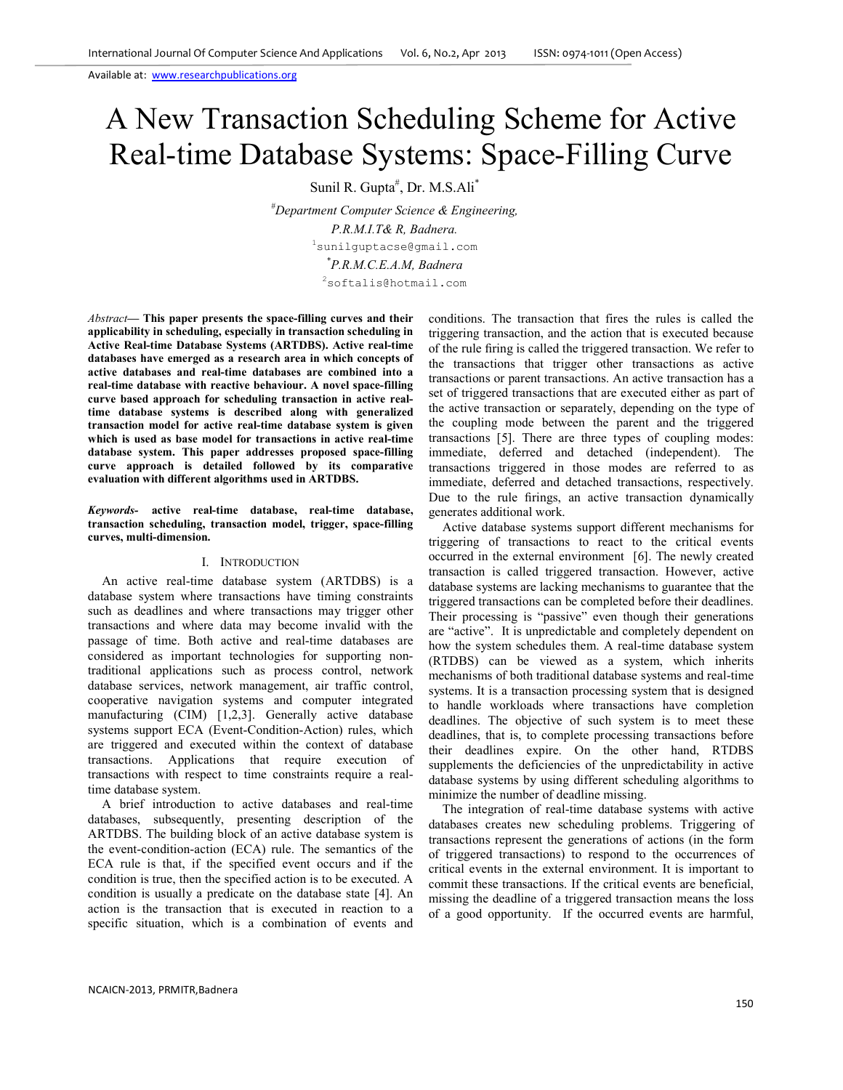# A New Transaction Scheduling Scheme for Active Real-time Database Systems: Space-Filling Curve

Sunil R. Gupta<sup>#</sup>, Dr. M.S.Ali<sup>\*</sup>

*#Department Computer Science & Engineering, P.R.M.I.T& R, Badnera.*  <sup>1</sup>sunilguptacse@gmail.com *\* P.R.M.C.E.A.M, Badnera*   $2$ softalis@hotmail.com

*Abstract***— This paper presents the space-filling curves and their applicability in scheduling, especially in transaction scheduling in Active Real-time Database Systems (ARTDBS). Active real-time databases have emerged as a research area in which concepts of active databases and real-time databases are combined into a real-time database with reactive behaviour. A novel space-filling curve based approach for scheduling transaction in active realtime database systems is described along with generalized transaction model for active real-time database system is given which is used as base model for transactions in active real-time database system. This paper addresses proposed space-filling curve approach is detailed followed by its comparative evaluation with different algorithms used in ARTDBS.** 

*Keywords-* **active real-time database, real-time database, transaction scheduling, transaction model, trigger, space-filling curves, multi-dimension.**

#### I. INTRODUCTION

An active real-time database system (ARTDBS) is a database system where transactions have timing constraints such as deadlines and where transactions may trigger other transactions and where data may become invalid with the passage of time. Both active and real-time databases are considered as important technologies for supporting nontraditional applications such as process control, network database services, network management, air traffic control, cooperative navigation systems and computer integrated manufacturing (CIM) [1,2,3]. Generally active database systems support ECA (Event-Condition-Action) rules, which are triggered and executed within the context of database transactions. Applications that require execution of transactions with respect to time constraints require a realtime database system.

A brief introduction to active databases and real-time databases, subsequently, presenting description of the ARTDBS. The building block of an active database system is the event-condition-action (ECA) rule. The semantics of the ECA rule is that, if the specified event occurs and if the condition is true, then the specified action is to be executed. A condition is usually a predicate on the database state [4]. An action is the transaction that is executed in reaction to a specific situation, which is a combination of events and

conditions. The transaction that fires the rules is called the triggering transaction, and the action that is executed because of the rule firing is called the triggered transaction. We refer to the transactions that trigger other transactions as active transactions or parent transactions. An active transaction has a set of triggered transactions that are executed either as part of the active transaction or separately, depending on the type of the coupling mode between the parent and the triggered transactions [5]. There are three types of coupling modes: immediate, deferred and detached (independent). The transactions triggered in those modes are referred to as immediate, deferred and detached transactions, respectively. Due to the rule firings, an active transaction dynamically generates additional work.

Active database systems support different mechanisms for triggering of transactions to react to the critical events occurred in the external environment [6]. The newly created transaction is called triggered transaction. However, active database systems are lacking mechanisms to guarantee that the triggered transactions can be completed before their deadlines. Their processing is "passive" even though their generations are "active". It is unpredictable and completely dependent on how the system schedules them. A real-time database system (RTDBS) can be viewed as a system, which inherits mechanisms of both traditional database systems and real-time systems. It is a transaction processing system that is designed to handle workloads where transactions have completion deadlines. The objective of such system is to meet these deadlines, that is, to complete processing transactions before their deadlines expire. On the other hand, RTDBS supplements the deficiencies of the unpredictability in active database systems by using different scheduling algorithms to minimize the number of deadline missing.

The integration of real-time database systems with active databases creates new scheduling problems. Triggering of transactions represent the generations of actions (in the form of triggered transactions) to respond to the occurrences of critical events in the external environment. It is important to commit these transactions. If the critical events are beneficial, missing the deadline of a triggered transaction means the loss of a good opportunity. If the occurred events are harmful,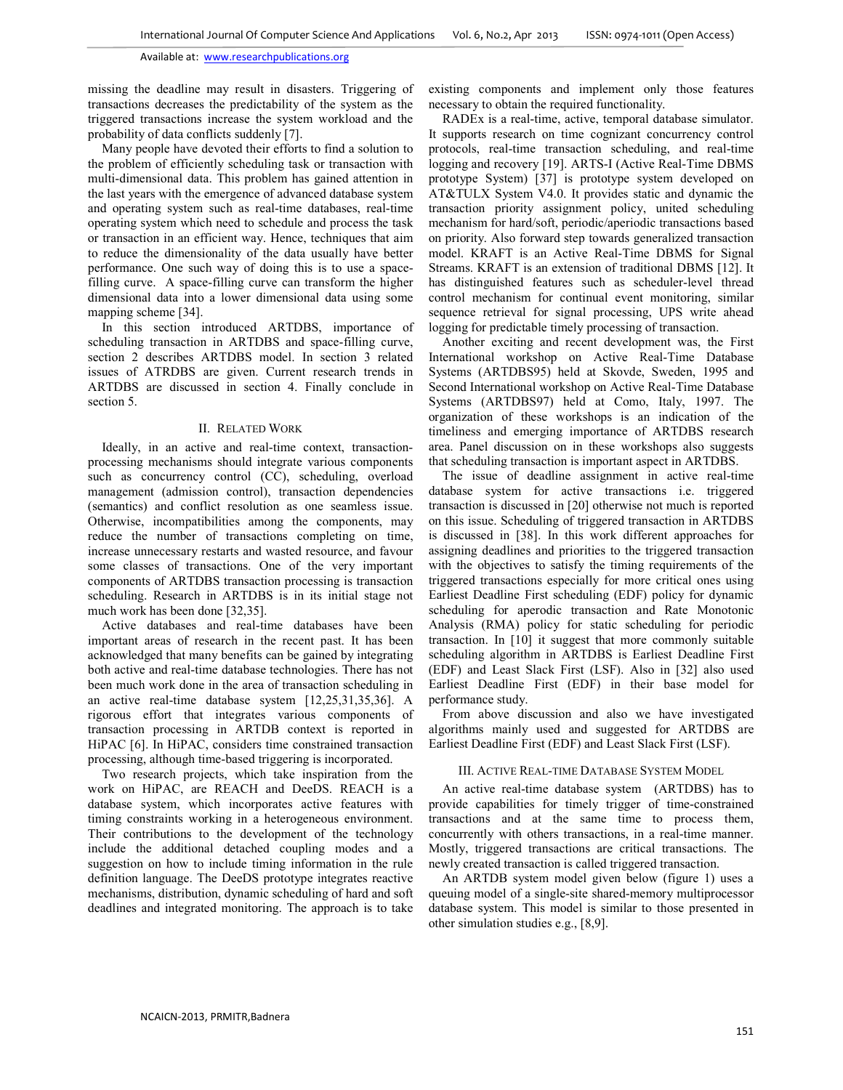missing the deadline may result in disasters. Triggering of transactions decreases the predictability of the system as the triggered transactions increase the system workload and the probability of data conflicts suddenly [7].

Many people have devoted their efforts to find a solution to the problem of efficiently scheduling task or transaction with multi-dimensional data. This problem has gained attention in the last years with the emergence of advanced database system and operating system such as real-time databases, real-time operating system which need to schedule and process the task or transaction in an efficient way. Hence, techniques that aim to reduce the dimensionality of the data usually have better performance. One such way of doing this is to use a spacefilling curve. A space-filling curve can transform the higher dimensional data into a lower dimensional data using some mapping scheme [34].

In this section introduced ARTDBS, importance of scheduling transaction in ARTDBS and space-filling curve, section 2 describes ARTDBS model. In section 3 related issues of ATRDBS are given. Current research trends in ARTDBS are discussed in section 4. Finally conclude in section 5.

## II. RELATED WORK

Ideally, in an active and real-time context, transactionprocessing mechanisms should integrate various components such as concurrency control (CC), scheduling, overload management (admission control), transaction dependencies (semantics) and conflict resolution as one seamless issue. Otherwise, incompatibilities among the components, may reduce the number of transactions completing on time, increase unnecessary restarts and wasted resource, and favour some classes of transactions. One of the very important components of ARTDBS transaction processing is transaction scheduling. Research in ARTDBS is in its initial stage not much work has been done [32,35].

Active databases and real-time databases have been important areas of research in the recent past. It has been acknowledged that many benefits can be gained by integrating both active and real-time database technologies. There has not been much work done in the area of transaction scheduling in an active real-time database system [12,25,31,35,36]. A rigorous effort that integrates various components of transaction processing in ARTDB context is reported in HiPAC [6]. In HiPAC, considers time constrained transaction processing, although time-based triggering is incorporated.

Two research projects, which take inspiration from the work on HiPAC, are REACH and DeeDS. REACH is a database system, which incorporates active features with timing constraints working in a heterogeneous environment. Their contributions to the development of the technology include the additional detached coupling modes and a suggestion on how to include timing information in the rule definition language. The DeeDS prototype integrates reactive mechanisms, distribution, dynamic scheduling of hard and soft deadlines and integrated monitoring. The approach is to take

existing components and implement only those features necessary to obtain the required functionality.

RADEx is a real-time, active, temporal database simulator. It supports research on time cognizant concurrency control protocols, real-time transaction scheduling, and real-time logging and recovery [19]. ARTS-I (Active Real-Time DBMS prototype System) [37] is prototype system developed on AT&TULX System V4.0. It provides static and dynamic the transaction priority assignment policy, united scheduling mechanism for hard/soft, periodic/aperiodic transactions based on priority. Also forward step towards generalized transaction model. KRAFT is an Active Real-Time DBMS for Signal Streams. KRAFT is an extension of traditional DBMS [12]. It has distinguished features such as scheduler-level thread control mechanism for continual event monitoring, similar sequence retrieval for signal processing, UPS write ahead logging for predictable timely processing of transaction.

Another exciting and recent development was, the First International workshop on Active Real-Time Database Systems (ARTDBS95) held at Skovde, Sweden, 1995 and Second International workshop on Active Real-Time Database Systems (ARTDBS97) held at Como, Italy, 1997. The organization of these workshops is an indication of the timeliness and emerging importance of ARTDBS research area. Panel discussion on in these workshops also suggests that scheduling transaction is important aspect in ARTDBS.

The issue of deadline assignment in active real-time database system for active transactions i.e. triggered transaction is discussed in [20] otherwise not much is reported on this issue. Scheduling of triggered transaction in ARTDBS is discussed in [38]. In this work different approaches for assigning deadlines and priorities to the triggered transaction with the objectives to satisfy the timing requirements of the triggered transactions especially for more critical ones using Earliest Deadline First scheduling (EDF) policy for dynamic scheduling for aperodic transaction and Rate Monotonic Analysis (RMA) policy for static scheduling for periodic transaction. In [10] it suggest that more commonly suitable scheduling algorithm in ARTDBS is Earliest Deadline First (EDF) and Least Slack First (LSF). Also in [32] also used Earliest Deadline First (EDF) in their base model for performance study.

From above discussion and also we have investigated algorithms mainly used and suggested for ARTDBS are Earliest Deadline First (EDF) and Least Slack First (LSF).

## III. ACTIVE REAL-TIME DATABASE SYSTEM MODEL

An active real-time database system (ARTDBS) has to provide capabilities for timely trigger of time-constrained transactions and at the same time to process them, concurrently with others transactions, in a real-time manner. Mostly, triggered transactions are critical transactions. The newly created transaction is called triggered transaction.

An ARTDB system model given below (figure 1) uses a queuing model of a single-site shared-memory multiprocessor database system. This model is similar to those presented in other simulation studies e.g., [8,9].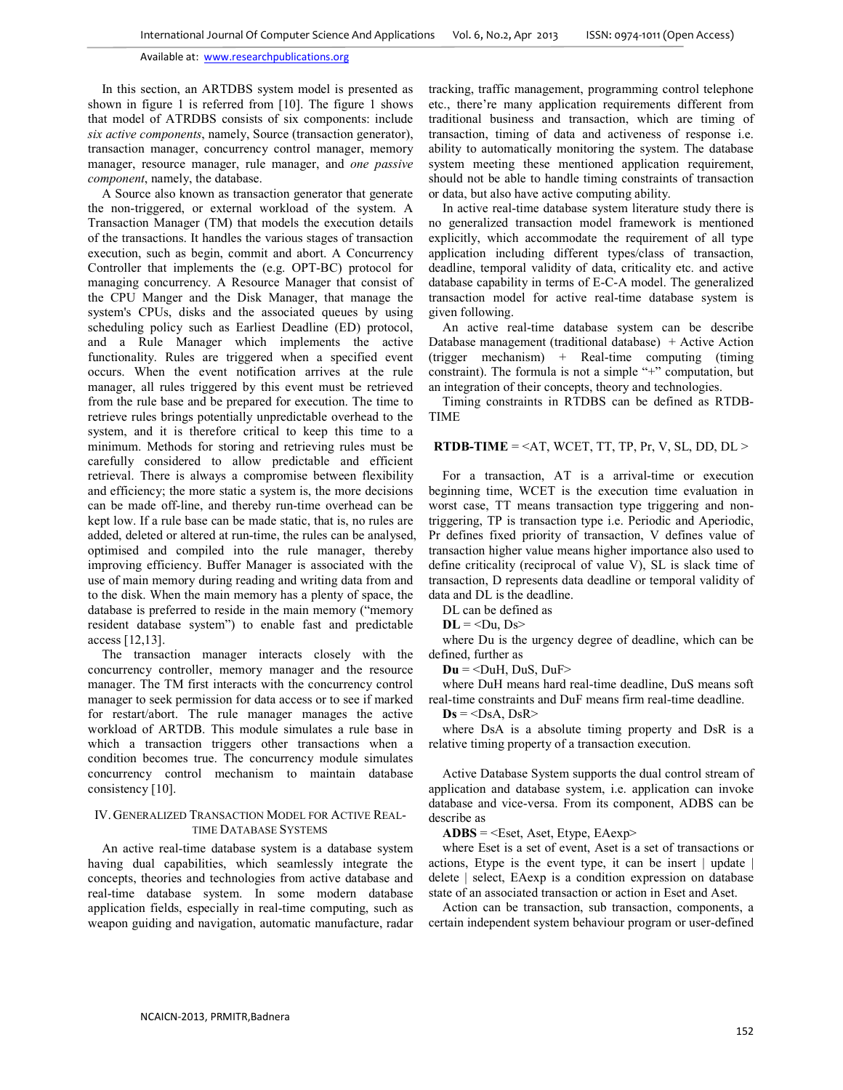In this section, an ARTDBS system model is presented as shown in figure 1 is referred from [10]. The figure 1 shows that model of ATRDBS consists of six components: include *six active components*, namely, Source (transaction generator), transaction manager, concurrency control manager, memory manager, resource manager, rule manager, and *one passive component*, namely, the database.

A Source also known as transaction generator that generate the non-triggered, or external workload of the system. A Transaction Manager (TM) that models the execution details of the transactions. It handles the various stages of transaction execution, such as begin, commit and abort. A Concurrency Controller that implements the (e.g. OPT-BC) protocol for managing concurrency. A Resource Manager that consist of the CPU Manger and the Disk Manager, that manage the system's CPUs, disks and the associated queues by using scheduling policy such as Earliest Deadline (ED) protocol, and a Rule Manager which implements the active functionality. Rules are triggered when a specified event occurs. When the event notification arrives at the rule manager, all rules triggered by this event must be retrieved from the rule base and be prepared for execution. The time to retrieve rules brings potentially unpredictable overhead to the system, and it is therefore critical to keep this time to a minimum. Methods for storing and retrieving rules must be carefully considered to allow predictable and efficient retrieval. There is always a compromise between flexibility and efficiency; the more static a system is, the more decisions can be made off-line, and thereby run-time overhead can be kept low. If a rule base can be made static, that is, no rules are added, deleted or altered at run-time, the rules can be analysed, optimised and compiled into the rule manager, thereby improving efficiency. Buffer Manager is associated with the use of main memory during reading and writing data from and to the disk. When the main memory has a plenty of space, the database is preferred to reside in the main memory ("memory resident database system") to enable fast and predictable access [12,13].

The transaction manager interacts closely with the concurrency controller, memory manager and the resource manager. The TM first interacts with the concurrency control manager to seek permission for data access or to see if marked for restart/abort. The rule manager manages the active workload of ARTDB. This module simulates a rule base in which a transaction triggers other transactions when a condition becomes true. The concurrency module simulates concurrency control mechanism to maintain database consistency [10].

## IV. GENERALIZED TRANSACTION MODEL FOR ACTIVE REAL-TIME DATABASE SYSTEMS

An active real-time database system is a database system having dual capabilities, which seamlessly integrate the concepts, theories and technologies from active database and real-time database system. In some modern database application fields, especially in real-time computing, such as weapon guiding and navigation, automatic manufacture, radar

tracking, traffic management, programming control telephone etc., there're many application requirements different from traditional business and transaction, which are timing of transaction, timing of data and activeness of response i.e. ability to automatically monitoring the system. The database system meeting these mentioned application requirement, should not be able to handle timing constraints of transaction or data, but also have active computing ability.

In active real-time database system literature study there is no generalized transaction model framework is mentioned explicitly, which accommodate the requirement of all type application including different types/class of transaction, deadline, temporal validity of data, criticality etc. and active database capability in terms of E-C-A model. The generalized transaction model for active real-time database system is given following.

An active real-time database system can be describe Database management (traditional database) + Active Action (trigger mechanism) + Real-time computing (timing constraint). The formula is not a simple "+" computation, but an integration of their concepts, theory and technologies.

Timing constraints in RTDBS can be defined as RTDB-TIME

## **RTDB-TIME** =  $\leq$ AT, WCET, TT, TP, Pr, V, SL, DD, DL  $>$

For a transaction, AT is a arrival-time or execution beginning time, WCET is the execution time evaluation in worst case, TT means transaction type triggering and nontriggering, TP is transaction type i.e. Periodic and Aperiodic, Pr defines fixed priority of transaction, V defines value of transaction higher value means higher importance also used to define criticality (reciprocal of value V), SL is slack time of transaction, D represents data deadline or temporal validity of data and DL is the deadline.

DL can be defined as

 $DL = < Du$ ,  $Ds$ 

where Du is the urgency degree of deadline, which can be defined, further as

 $Du = \leq$ DuH, DuS, DuF $>$ 

where DuH means hard real-time deadline, DuS means soft real-time constraints and DuF means firm real-time deadline.

 $Ds = <$ DsA, DsR>

where DsA is a absolute timing property and DsR is a relative timing property of a transaction execution.

Active Database System supports the dual control stream of application and database system, i.e. application can invoke database and vice-versa. From its component, ADBS can be describe as

**ADBS** = <Eset, Aset, Etype, EAexp>

where Eset is a set of event, Aset is a set of transactions or actions, Etype is the event type, it can be insert | update | delete | select, EAexp is a condition expression on database state of an associated transaction or action in Eset and Aset.

Action can be transaction, sub transaction, components, a certain independent system behaviour program or user-defined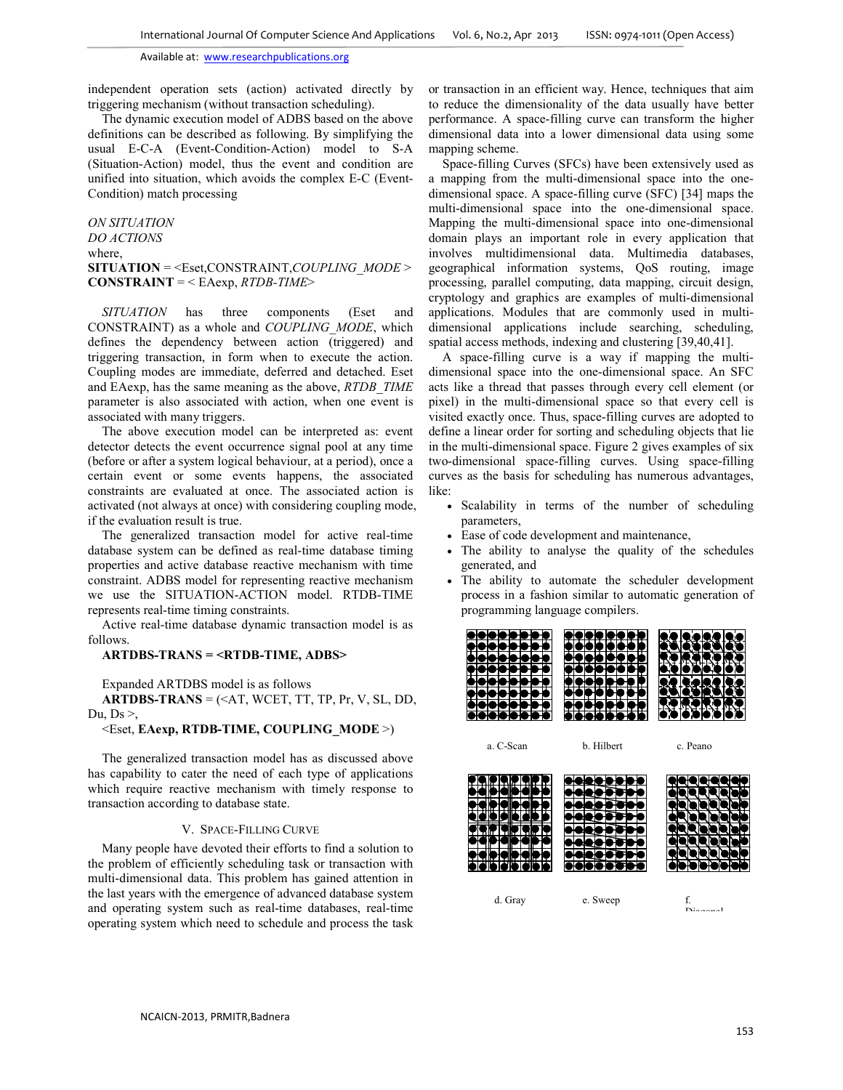independent operation sets (action) activated directly by triggering mechanism (without transaction scheduling).

The dynamic execution model of ADBS based on the above definitions can be described as following. By simplifying the usual E-C-A (Event-Condition-Action) model to S-A (Situation-Action) model, thus the event and condition are unified into situation, which avoids the complex E-C (Event-Condition) match processing

*ON SITUATION DO ACTIONS* where, **SITUATION** = <Eset,CONSTRAINT,*COUPLING\_MODE* > **CONSTRAINT** = < EAexp, *RTDB-TIME*>

*SITUATION* has three components (Eset and CONSTRAINT) as a whole and *COUPLING\_MODE*, which defines the dependency between action (triggered) and triggering transaction, in form when to execute the action. Coupling modes are immediate, deferred and detached. Eset and EAexp, has the same meaning as the above, *RTDB\_TIME* parameter is also associated with action, when one event is associated with many triggers.

The above execution model can be interpreted as: event detector detects the event occurrence signal pool at any time (before or after a system logical behaviour, at a period), once a certain event or some events happens, the associated constraints are evaluated at once. The associated action is activated (not always at once) with considering coupling mode, if the evaluation result is true.

The generalized transaction model for active real-time database system can be defined as real-time database timing properties and active database reactive mechanism with time constraint. ADBS model for representing reactive mechanism we use the SITUATION-ACTION model. RTDB-TIME represents real-time timing constraints.

Active real-time database dynamic transaction model is as follows.

## **ARTDBS-TRANS = <RTDB-TIME, ADBS>**

Expanded ARTDBS model is as follows

 $ARTDBS-TRANS = ( $\langle AT, WCEPT, TT, TP, Pr, V, SL, DD,$$ Du,  $Ds >$ ,

## <Eset, **EAexp, RTDB-TIME, COUPLING\_MODE** >)

The generalized transaction model has as discussed above has capability to cater the need of each type of applications which require reactive mechanism with timely response to transaction according to database state.

#### V. SPACE-FILLING CURVE

Many people have devoted their efforts to find a solution to the problem of efficiently scheduling task or transaction with multi-dimensional data. This problem has gained attention in the last years with the emergence of advanced database system and operating system such as real-time databases, real-time operating system which need to schedule and process the task

or transaction in an efficient way. Hence, techniques that aim to reduce the dimensionality of the data usually have better performance. A space-filling curve can transform the higher dimensional data into a lower dimensional data using some mapping scheme.

Space-filling Curves (SFCs) have been extensively used as a mapping from the multi-dimensional space into the onedimensional space. A space-filling curve (SFC) [34] maps the multi-dimensional space into the one-dimensional space. Mapping the multi-dimensional space into one-dimensional domain plays an important role in every application that involves multidimensional data. Multimedia databases, geographical information systems, QoS routing, image processing, parallel computing, data mapping, circuit design, cryptology and graphics are examples of multi-dimensional applications. Modules that are commonly used in multidimensional applications include searching, scheduling, spatial access methods, indexing and clustering [39,40,41].

A space-filling curve is a way if mapping the multidimensional space into the one-dimensional space. An SFC acts like a thread that passes through every cell element (or pixel) in the multi-dimensional space so that every cell is visited exactly once. Thus, space-filling curves are adopted to define a linear order for sorting and scheduling objects that lie in the multi-dimensional space. Figure 2 gives examples of six two-dimensional space-filling curves. Using space-filling curves as the basis for scheduling has numerous advantages, like:

- Scalability in terms of the number of scheduling parameters,
- Ease of code development and maintenance,
- The ability to analyse the quality of the schedules generated, and
- The ability to automate the scheduler development process in a fashion similar to automatic generation of programming language compilers.

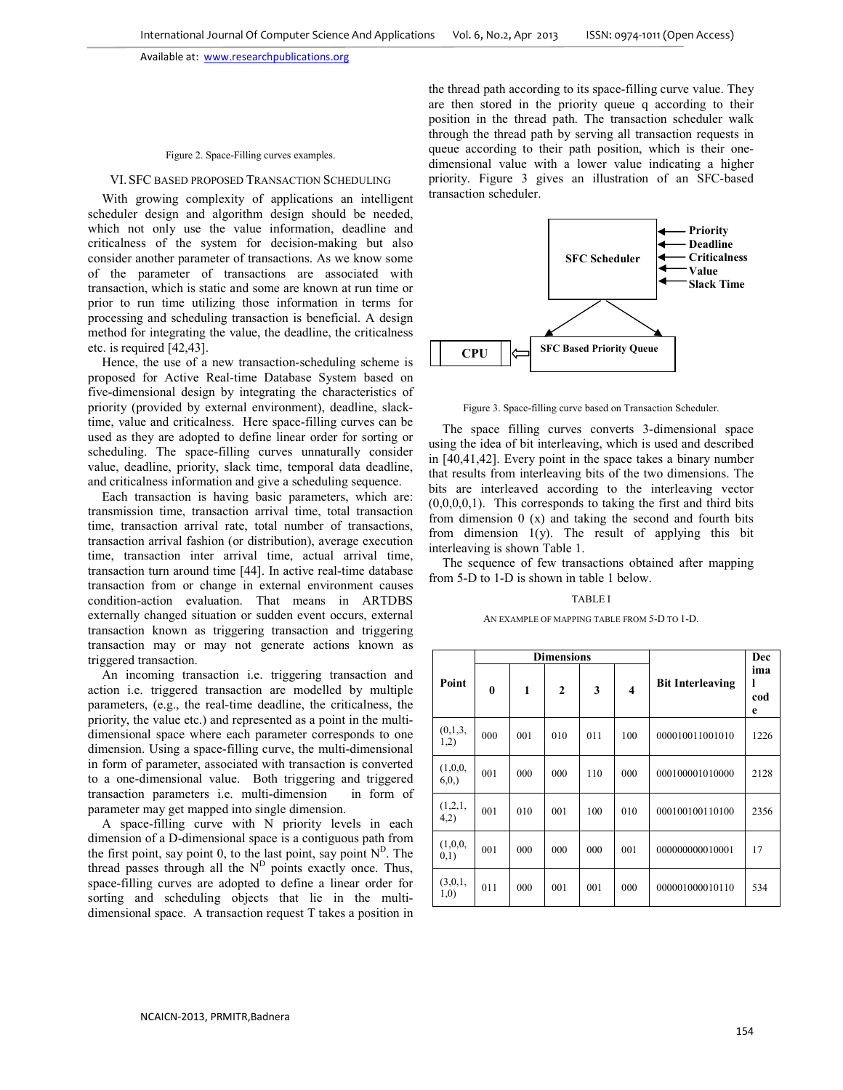#### Figure 2. Space-Filling curves examples.

#### VI. SFC BASED PROPOSED TRANSACTION SCHEDULING

With growing complexity of applications an intelligent scheduler design and algorithm design should be needed, which not only use the value information, deadline and criticalness of the system for decision-making but also consider another parameter of transactions. As we know some of the parameter of transactions are associated with transaction, which is static and some are known at run time or prior to run time utilizing those information in terms for processing and scheduling transaction is beneficial. A design method for integrating the value, the deadline, the criticalness etc. is required [42,43].

Hence, the use of a new transaction-scheduling scheme is proposed for Active Real-time Database System based on five-dimensional design by integrating the characteristics of priority (provided by external environment), deadline, slacktime, value and criticalness. Here space-filling curves can be used as they are adopted to define linear order for sorting or scheduling. The space-filling curves unnaturally consider value, deadline, priority, slack time, temporal data deadline, and criticalness information and give a scheduling sequence.

Each transaction is having basic parameters, which are: transmission time, transaction arrival time, total transaction time, transaction arrival rate, total number of transactions, transaction arrival fashion (or distribution), average execution time, transaction inter arrival time, actual arrival time, transaction turn around time [44]. In active real-time database transaction from or change in external environment causes condition-action evaluation. That means in ARTDBS externally changed situation or sudden event occurs, external transaction known as triggering transaction and triggering transaction may or may not generate actions known as triggered transaction.

An incoming transaction i.e. triggering transaction and action i.e. triggered transaction are modelled by multiple parameters, (e.g., the real-time deadline, the criticalness, the priority, the value etc.) and represented as a point in the multidimensional space where each parameter corresponds to one dimension. Using a space-filling curve, the multi-dimensional in form of parameter, associated with transaction is converted to a one-dimensional value. Both triggering and triggered transaction parameters i.e. multi-dimension in form of parameter may get mapped into single dimension.

A space-filling curve with N priority levels in each dimension of a D-dimensional space is a contiguous path from the first point, say point 0, to the last point, say point  $N^D$ . The thread passes through all the  $N<sup>D</sup>$  points exactly once. Thus, space-filling curves are adopted to define a linear order for sorting and scheduling objects that lie in the multidimensional space. A transaction request T takes a position in the thread path according to its space-filling curve value. They are then stored in the priority queue q according to their position in the thread path. The transaction scheduler walk through the thread path by serving all transaction requests in queue according to their path position, which is their onedimensional value with a lower value indicating a higher priority. Figure 3 gives an illustration of an SFC-based transaction scheduler.



Figure 3. Space-filling curve based on Transaction Scheduler.

The space filling curves converts 3-dimensional space using the idea of bit interleaving, which is used and described in [40,41,42]. Every point in the space takes a binary number that results from interleaving bits of the two dimensions. The bits are interleaved according to the interleaving vector  $(0,0,0,0,1)$ . This corresponds to taking the first and third bits from dimension 0 (x) and taking the second and fourth bits from dimension  $1(y)$ . The result of applying this bit interleaving is shown Table 1.

The sequence of few transactions obtained after mapping from 5-D to 1-D is shown in table 1 below.

### TABLE I

#### AN EXAMPLE OF MAPPING TABLE FROM 5-D TO 1-D.

| Point           | <b>Dimensions</b> |     |              |     |                         |                         | Dec                  |
|-----------------|-------------------|-----|--------------|-----|-------------------------|-------------------------|----------------------|
|                 | $\mathbf{0}$      | 1   | $\mathbf{2}$ | 3   | $\overline{\mathbf{4}}$ | <b>Bit Interleaving</b> | ima<br>ı<br>cod<br>e |
| (0,1,3,<br>1,2) | 000               | 001 | 010          | 011 | 100                     | 000010011001010         | 1226                 |
| (1,0,0,<br>6,0, | 001               | 000 | 000          | 110 | 000                     | 000100001010000         | 2128                 |
| (1,2,1,<br>4,2) | 001               | 010 | 001          | 100 | 010                     | 000100100110100         | 2356                 |
| (1,0,0,<br>0,1) | 001               | 000 | 000          | 000 | 001                     | 000000000010001         | 17                   |
| (3,0,1,<br>1,0) | 011               | 000 | 001          | 001 | 000                     | 000001000010110         | 534                  |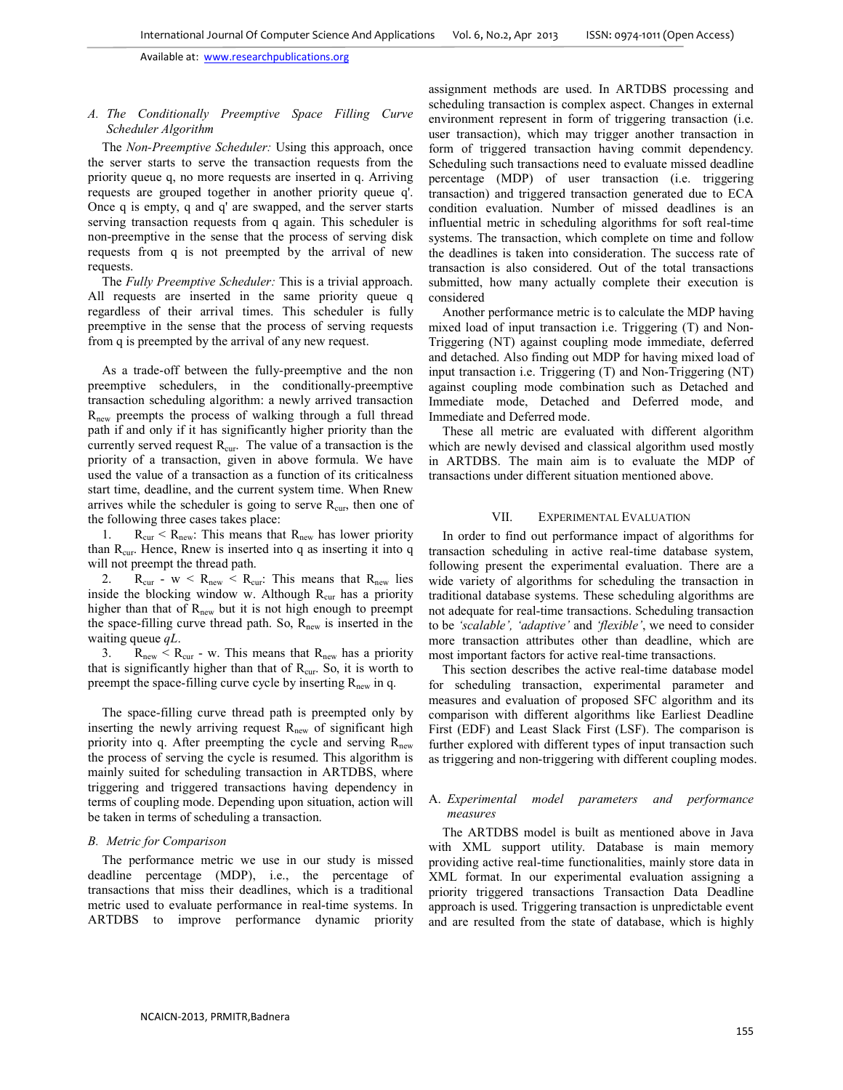## *A. The Conditionally Preemptive Space Filling Curve Scheduler Algorithm*

The *Non-Preemptive Scheduler:* Using this approach, once the server starts to serve the transaction requests from the priority queue q, no more requests are inserted in q. Arriving requests are grouped together in another priority queue q'. Once q is empty, q and q' are swapped, and the server starts serving transaction requests from q again. This scheduler is non-preemptive in the sense that the process of serving disk requests from q is not preempted by the arrival of new requests.

The *Fully Preemptive Scheduler:* This is a trivial approach. All requests are inserted in the same priority queue q regardless of their arrival times. This scheduler is fully preemptive in the sense that the process of serving requests from q is preempted by the arrival of any new request.

As a trade-off between the fully-preemptive and the non preemptive schedulers, in the conditionally-preemptive transaction scheduling algorithm: a newly arrived transaction Rnew preempts the process of walking through a full thread path if and only if it has significantly higher priority than the currently served request  $R_{cur}$ . The value of a transaction is the priority of a transaction, given in above formula. We have used the value of a transaction as a function of its criticalness start time, deadline, and the current system time. When Rnew arrives while the scheduler is going to serve  $R_{cur}$ , then one of the following three cases takes place:

1.  $R_{\text{cur}} < R_{\text{new}}$ : This means that  $R_{\text{new}}$  has lower priority than  $R_{\text{cur}}$ . Hence, Rnew is inserted into q as inserting it into q will not preempt the thread path.

2.  $R_{cur}$  -  $w < R_{new} < R_{cur}$ : This means that  $R_{new}$  lies inside the blocking window w. Although  $R_{cur}$  has a priority higher than that of  $R_{new}$  but it is not high enough to preempt the space-filling curve thread path. So,  $R_{new}$  is inserted in the waiting queue *qL*.

3.  $R_{\text{new}} < R_{\text{cur}}$  - w. This means that  $R_{\text{new}}$  has a priority that is significantly higher than that of  $R_{\text{cur}}$ . So, it is worth to preempt the space-filling curve cycle by inserting  $R_{new}$  in q.

The space-filling curve thread path is preempted only by inserting the newly arriving request  $R<sub>new</sub>$  of significant high priority into q. After preempting the cycle and serving  $R_{new}$ the process of serving the cycle is resumed. This algorithm is mainly suited for scheduling transaction in ARTDBS, where triggering and triggered transactions having dependency in terms of coupling mode. Depending upon situation, action will be taken in terms of scheduling a transaction.

## *B. Metric for Comparison*

The performance metric we use in our study is missed deadline percentage (MDP), i.e., the percentage of transactions that miss their deadlines, which is a traditional metric used to evaluate performance in real-time systems. In ARTDBS to improve performance dynamic priority

assignment methods are used. In ARTDBS processing and scheduling transaction is complex aspect. Changes in external environment represent in form of triggering transaction (i.e. user transaction), which may trigger another transaction in form of triggered transaction having commit dependency. Scheduling such transactions need to evaluate missed deadline percentage (MDP) of user transaction (i.e. triggering transaction) and triggered transaction generated due to ECA condition evaluation. Number of missed deadlines is an influential metric in scheduling algorithms for soft real-time systems. The transaction, which complete on time and follow the deadlines is taken into consideration. The success rate of transaction is also considered. Out of the total transactions submitted, how many actually complete their execution is considered

Another performance metric is to calculate the MDP having mixed load of input transaction i.e. Triggering (T) and Non-Triggering (NT) against coupling mode immediate, deferred and detached. Also finding out MDP for having mixed load of input transaction i.e. Triggering (T) and Non-Triggering (NT) against coupling mode combination such as Detached and Immediate mode, Detached and Deferred mode, and Immediate and Deferred mode.

These all metric are evaluated with different algorithm which are newly devised and classical algorithm used mostly in ARTDBS. The main aim is to evaluate the MDP of transactions under different situation mentioned above.

## VII. EXPERIMENTAL EVALUATION

In order to find out performance impact of algorithms for transaction scheduling in active real-time database system, following present the experimental evaluation. There are a wide variety of algorithms for scheduling the transaction in traditional database systems. These scheduling algorithms are not adequate for real-time transactions. Scheduling transaction to be *'scalable', 'adaptive'* and *'flexible'*, we need to consider more transaction attributes other than deadline, which are most important factors for active real-time transactions.

This section describes the active real-time database model for scheduling transaction, experimental parameter and measures and evaluation of proposed SFC algorithm and its comparison with different algorithms like Earliest Deadline First (EDF) and Least Slack First (LSF). The comparison is further explored with different types of input transaction such as triggering and non-triggering with different coupling modes.

## A. *Experimental model parameters and performance measures*

The ARTDBS model is built as mentioned above in Java with XML support utility. Database is main memory providing active real-time functionalities, mainly store data in XML format. In our experimental evaluation assigning a priority triggered transactions Transaction Data Deadline approach is used. Triggering transaction is unpredictable event and are resulted from the state of database, which is highly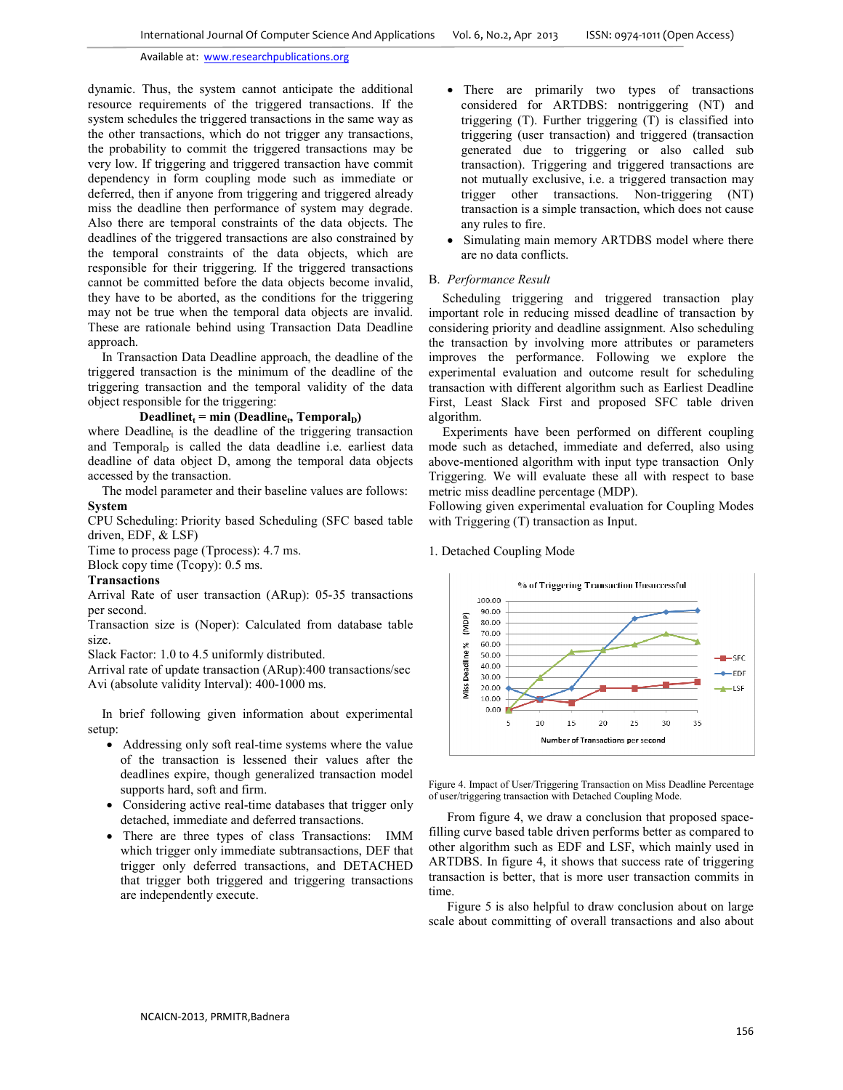dynamic. Thus, the system cannot anticipate the additional resource requirements of the triggered transactions. If the system schedules the triggered transactions in the same way as the other transactions, which do not trigger any transactions, the probability to commit the triggered transactions may be very low. If triggering and triggered transaction have commit dependency in form coupling mode such as immediate or deferred, then if anyone from triggering and triggered already miss the deadline then performance of system may degrade. Also there are temporal constraints of the data objects. The deadlines of the triggered transactions are also constrained by the temporal constraints of the data objects, which are responsible for their triggering. If the triggered transactions cannot be committed before the data objects become invalid, they have to be aborted, as the conditions for the triggering may not be true when the temporal data objects are invalid. These are rationale behind using Transaction Data Deadline approach.

In Transaction Data Deadline approach, the deadline of the triggered transaction is the minimum of the deadline of the triggering transaction and the temporal validity of the data object responsible for the triggering:

# $\textbf{Deadline}_{t} = \min \left( \textbf{Deadline}_{t}, \textbf{Temporal}_{D} \right)$

where Deadline $<sub>t</sub>$  is the deadline of the triggering transaction</sub> and Temporal $<sub>D</sub>$  is called the data deadline i.e. earliest data</sub> deadline of data object D, among the temporal data objects accessed by the transaction.

The model parameter and their baseline values are follows: **System** 

CPU Scheduling: Priority based Scheduling (SFC based table driven, EDF, & LSF)

Time to process page (Tprocess): 4.7 ms. Block copy time (Tcopy): 0.5 ms.

## **Transactions**

Arrival Rate of user transaction (ARup): 05-35 transactions per second.

Transaction size is (Noper): Calculated from database table size.

Slack Factor: 1.0 to 4.5 uniformly distributed.

Arrival rate of update transaction (ARup):400 transactions/sec Avi (absolute validity Interval): 400-1000 ms.

In brief following given information about experimental setup:

- Addressing only soft real-time systems where the value of the transaction is lessened their values after the deadlines expire, though generalized transaction model supports hard, soft and firm.
- Considering active real-time databases that trigger only detached, immediate and deferred transactions.
- There are three types of class Transactions: IMM which trigger only immediate subtransactions, DEF that trigger only deferred transactions, and DETACHED that trigger both triggered and triggering transactions are independently execute.
- There are primarily two types of transactions considered for ARTDBS: nontriggering (NT) and triggering (T). Further triggering (T) is classified into triggering (user transaction) and triggered (transaction generated due to triggering or also called sub transaction). Triggering and triggered transactions are not mutually exclusive, i.e. a triggered transaction may trigger other transactions. Non-triggering (NT) transaction is a simple transaction, which does not cause any rules to fire.
- Simulating main memory ARTDBS model where there are no data conflicts.

## B. *Performance Result*

Scheduling triggering and triggered transaction play important role in reducing missed deadline of transaction by considering priority and deadline assignment. Also scheduling the transaction by involving more attributes or parameters improves the performance. Following we explore the experimental evaluation and outcome result for scheduling transaction with different algorithm such as Earliest Deadline First, Least Slack First and proposed SFC table driven algorithm.

Experiments have been performed on different coupling mode such as detached, immediate and deferred, also using above-mentioned algorithm with input type transaction Only Triggering. We will evaluate these all with respect to base metric miss deadline percentage (MDP).

Following given experimental evaluation for Coupling Modes with Triggering (T) transaction as Input.



## 1. Detached Coupling Mode

Figure 4. Impact of User/Triggering Transaction on Miss Deadline Percentage of user/triggering transaction with Detached Coupling Mode.

From figure 4, we draw a conclusion that proposed spacefilling curve based table driven performs better as compared to other algorithm such as EDF and LSF, which mainly used in ARTDBS. In figure 4, it shows that success rate of triggering transaction is better, that is more user transaction commits in time.

Figure 5 is also helpful to draw conclusion about on large scale about committing of overall transactions and also about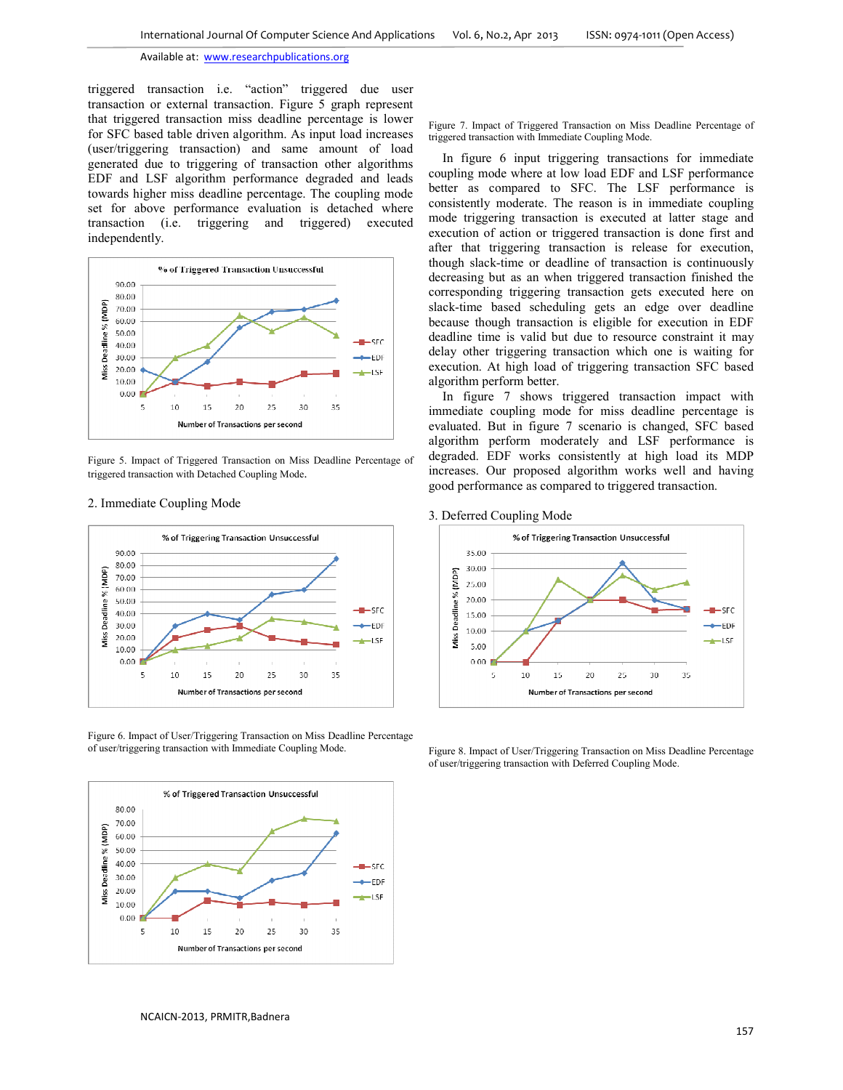triggered transaction i.e. "action" triggered due user transaction or external transaction. Figure 5 graph represent that triggered transaction miss deadline percentage is lower for SFC based table driven algorithm. As input load increases (user/triggering transaction) and same amount of load generated due to triggering of transaction other algorithms EDF and LSF algorithm performance degraded and leads towards higher miss deadline percentage. The coupling mode set for above performance evaluation is detached where transaction (i.e. triggering and triggered) executed independently.



Figure 5. Impact of Triggered Transaction on Miss Deadline Percentage of triggered transaction with Detached Coupling Mode.

### 2. Immediate Coupling Mode



Figure 6. Impact of User/Triggering Transaction on Miss Deadline Percentage of user/triggering transaction with Immediate Coupling Mode.



Figure 7. Impact of Triggered Transaction on Miss Deadline Percentage of triggered transaction with Immediate Coupling Mode.

In figure 6 input triggering transactions for immediate coupling mode where at low load EDF and LSF performance better as compared to SFC. The LSF performance is consistently moderate. The reason is in immediate coupling mode triggering transaction is executed at latter stage and execution of action or triggered transaction is done first and after that triggering transaction is release for execution, though slack-time or deadline of transaction is continuously decreasing but as an when triggered transaction finished the corresponding triggering transaction gets executed here on slack-time based scheduling gets an edge over deadline because though transaction is eligible for execution in EDF deadline time is valid but due to resource constraint it may delay other triggering transaction which one is waiting for execution. At high load of triggering transaction SFC based algorithm perform better.

In figure 7 shows triggered transaction impact with immediate coupling mode for miss deadline percentage is evaluated. But in figure 7 scenario is changed, SFC based algorithm perform moderately and LSF performance is degraded. EDF works consistently at high load its MDP increases. Our proposed algorithm works well and having good performance as compared to triggered transaction.

3. Deferred Coupling Mode



Figure 8. Impact of User/Triggering Transaction on Miss Deadline Percentage of user/triggering transaction with Deferred Coupling Mode.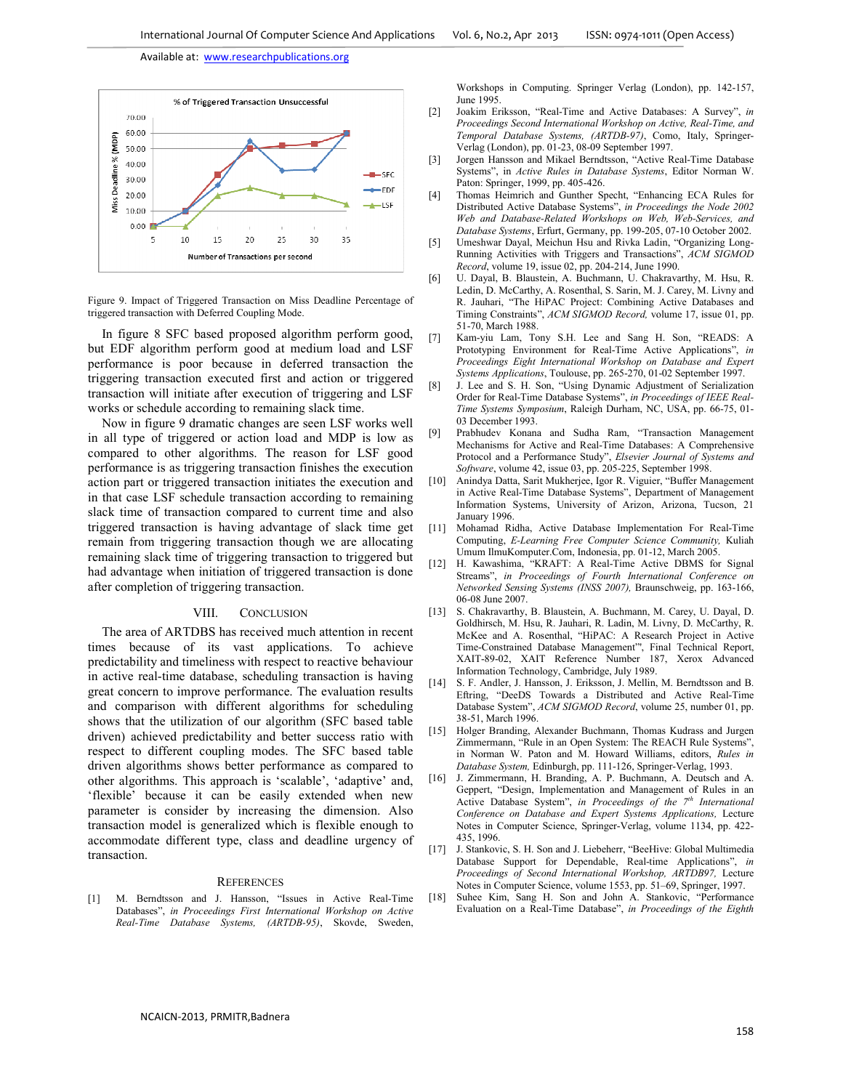

Figure 9. Impact of Triggered Transaction on Miss Deadline Percentage of triggered transaction with Deferred Coupling Mode.

In figure 8 SFC based proposed algorithm perform good, but EDF algorithm perform good at medium load and LSF performance is poor because in deferred transaction the triggering transaction executed first and action or triggered transaction will initiate after execution of triggering and LSF works or schedule according to remaining slack time.

Now in figure 9 dramatic changes are seen LSF works well in all type of triggered or action load and MDP is low as compared to other algorithms. The reason for LSF good performance is as triggering transaction finishes the execution action part or triggered transaction initiates the execution and in that case LSF schedule transaction according to remaining slack time of transaction compared to current time and also triggered transaction is having advantage of slack time get remain from triggering transaction though we are allocating remaining slack time of triggering transaction to triggered but had advantage when initiation of triggered transaction is done after completion of triggering transaction.

#### VIII. CONCLUSION

The area of ARTDBS has received much attention in recent times because of its vast applications. To achieve predictability and timeliness with respect to reactive behaviour in active real-time database, scheduling transaction is having great concern to improve performance. The evaluation results and comparison with different algorithms for scheduling shows that the utilization of our algorithm (SFC based table driven) achieved predictability and better success ratio with respect to different coupling modes. The SFC based table driven algorithms shows better performance as compared to other algorithms. This approach is 'scalable', 'adaptive' and, 'flexible' because it can be easily extended when new parameter is consider by increasing the dimension. Also transaction model is generalized which is flexible enough to accommodate different type, class and deadline urgency of transaction.

#### **REFERENCES**

[1] M. Berndtsson and J. Hansson, "Issues in Active Real-Time Databases", *in Proceedings First International Workshop on Active Real-Time Database Systems, (ARTDB-95)*, Skovde, Sweden,

Workshops in Computing. Springer Verlag (London), pp. 142-157, June 1995.

- [2] Joakim Eriksson, "Real-Time and Active Databases: A Survey", *in Proceedings Second International Workshop on Active, Real-Time, and Temporal Database Systems, (ARTDB-97)*, Como, Italy, Springer-Verlag (London), pp. 01-23, 08-09 September 1997.
- [3] Jorgen Hansson and Mikael Berndtsson, "Active Real-Time Database Systems", in *Active Rules in Database Systems*, Editor Norman W. Paton: Springer, 1999, pp. 405-426.
- [4] Thomas Heimrich and Gunther Specht, "Enhancing ECA Rules for Distributed Active Database Systems", *in Proceedings the Node 2002 Web and Database-Related Workshops on Web, Web-Services, and Database Systems*, Erfurt, Germany, pp. 199-205, 07-10 October 2002.
- [5] Umeshwar Dayal, Meichun Hsu and Rivka Ladin, "Organizing Long-Running Activities with Triggers and Transactions", *ACM SIGMOD Record*, volume 19, issue 02, pp. 204-214, June 1990.
- [6] U. Dayal, B. Blaustein, A. Buchmann, U. Chakravarthy, M. Hsu, R. Ledin, D. McCarthy, A. Rosenthal, S. Sarin, M. J. Carey, M. Livny and R. Jauhari, "The HiPAC Project: Combining Active Databases and Timing Constraints", *ACM SIGMOD Record,* volume 17, issue 01, pp. 51-70, March 1988.
- [7] Kam-yiu Lam, Tony S.H. Lee and Sang H. Son, "READS: A Prototyping Environment for Real-Time Active Applications", *in Proceedings Eight International Workshop on Database and Expert Systems Applications*, Toulouse, pp. 265-270, 01-02 September 1997.
- [8] J. Lee and S. H. Son, "Using Dynamic Adjustment of Serialization Order for Real-Time Database Systems", *in Proceedings of IEEE Real-Time Systems Symposium*, Raleigh Durham, NC, USA, pp. 66-75, 01- 03 December 1993.
- [9] Prabhudev Konana and Sudha Ram, "Transaction Management Mechanisms for Active and Real-Time Databases: A Comprehensive Protocol and a Performance Study", *Elsevier Journal of Systems and Software*, volume 42, issue 03, pp. 205-225, September 1998.
- [10] Anindya Datta, Sarit Mukherjee, Igor R. Viguier, "Buffer Management in Active Real-Time Database Systems", Department of Management Information Systems, University of Arizon, Arizona, Tucson, 21 January 1996.
- [11] Mohamad Ridha, Active Database Implementation For Real-Time Computing, *E-Learning Free Computer Science Community,* Kuliah Umum IlmuKomputer.Com, Indonesia, pp. 01-12, March 2005.
- [12] H. Kawashima, "KRAFT: A Real-Time Active DBMS for Signal Streams", *in Proceedings of Fourth International Conference on Networked Sensing Systems (INSS 2007),* Braunschweig, pp. 163-166, 06-08 June 2007.
- [13] S. Chakravarthy, B. Blaustein, A. Buchmann, M. Carey, U. Dayal, D. Goldhirsch, M. Hsu, R. Jauhari, R. Ladin, M. Livny, D. McCarthy, R. McKee and A. Rosenthal, "HiPAC: A Research Project in Active Time-Constrained Database Management"', Final Technical Report, XAIT-89-02, XAIT Reference Number 187, Xerox Advanced Information Technology, Cambridge, July 1989.
- [14] S. F. Andler, J. Hansson, J. Eriksson, J. Mellin, M. Berndtsson and B. Eftring, "DeeDS Towards a Distributed and Active Real-Time Database System", *ACM SIGMOD Record*, volume 25, number 01, pp. 38-51, March 1996.
- [15] Holger Branding, Alexander Buchmann, Thomas Kudrass and Jurgen Zimmermann, "Rule in an Open System: The REACH Rule Systems", in Norman W. Paton and M. Howard Williams, editors, *Rules in Database System,* Edinburgh, pp. 111-126, Springer-Verlag, 1993.
- [16] J. Zimmermann, H. Branding, A. P. Buchmann, A. Deutsch and A. Geppert, "Design, Implementation and Management of Rules in an Active Database System", *in Proceedings of the 7th International Conference on Database and Expert Systems Applications,* Lecture Notes in Computer Science, Springer-Verlag, volume 1134, pp. 422- 435, 1996.
- [17] J. Stankovic, S. H. Son and J. Liebeherr, "BeeHive: Global Multimedia Database Support for Dependable, Real-time Applications", *in Proceedings of Second International Workshop, ARTDB97,* Lecture Notes in Computer Science, volume 1553, pp. 51–69, Springer, 1997.
- [18] Suhee Kim, Sang H. Son and John A. Stankovic, "Performance Evaluation on a Real-Time Database", *in Proceedings of the Eighth*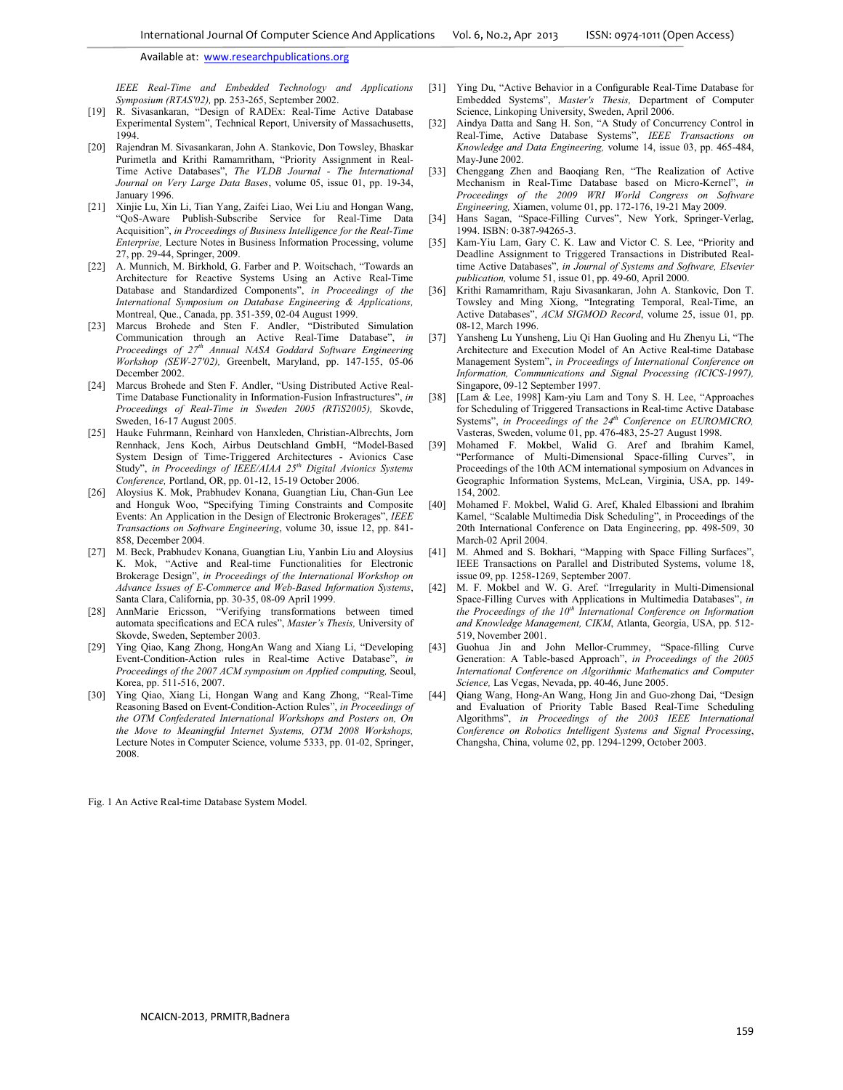*IEEE Real-Time and Embedded Technology and Applications Symposium (RTAS'02),* pp. 253-265, September 2002.

- [19] R. Sivasankaran, "Design of RADEx: Real-Time Active Database Experimental System", Technical Report, University of Massachusetts, 1994.
- [20] Rajendran M. Sivasankaran, John A. Stankovic, Don Towsley, Bhaskar Purimetla and Krithi Ramamritham, "Priority Assignment in Real-Time Active Databases", *The VLDB Journal - The International Journal on Very Large Data Bases*, volume 05, issue 01, pp. 19-34, January 1996.
- [21] Xinjie Lu, Xin Li, Tian Yang, Zaifei Liao, Wei Liu and Hongan Wang, "QoS-Aware Publish-Subscribe Service for Real-Time Data Acquisition", *in Proceedings of Business Intelligence for the Real-Time Enterprise,* Lecture Notes in Business Information Processing, volume 27, pp. 29-44, Springer, 2009.
- [22] A. Munnich, M. Birkhold, G. Farber and P. Woitschach, "Towards an Architecture for Reactive Systems Using an Active Real-Time Database and Standardized Components", *in Proceedings of the International Symposium on Database Engineering & Applications,* Montreal, Que., Canada, pp. 351-359, 02-04 August 1999.
- [23] Marcus Brohede and Sten F. Andler, "Distributed Simulation Communication through an Active Real-Time Database", *in Proceedings of 27th Annual NASA Goddard Software Engineering Workshop (SEW-27'02),* Greenbelt, Maryland, pp. 147-155, 05-06 December 2002.
- [24] Marcus Brohede and Sten F. Andler, "Using Distributed Active Real-Time Database Functionality in Information-Fusion Infrastructures", *in Proceedings of Real-Time in Sweden 2005 (RTiS2005),* Skovde, Sweden, 16-17 August 2005.
- [25] Hauke Fuhrmann, Reinhard von Hanxleden, Christian-Albrechts, Jorn Rennhack, Jens Koch, Airbus Deutschland GmbH, "Model-Based System Design of Time-Triggered Architectures - Avionics Case Study", *in Proceedings of IEEE/AIAA 25th Digital Avionics Systems Conference,* Portland, OR, pp. 01-12, 15-19 October 2006.
- [26] Aloysius K. Mok, Prabhudev Konana, Guangtian Liu, Chan-Gun Lee and Honguk Woo, "Specifying Timing Constraints and Composite Events: An Application in the Design of Electronic Brokerages", *IEEE Transactions on Software Engineering*, volume 30, issue 12, pp. 841- 858, December 2004.
- [27] M. Beck, Prabhudev Konana, Guangtian Liu, Yanbin Liu and Aloysius K. Mok, "Active and Real-time Functionalities for Electronic Brokerage Design", *in Proceedings of the International Workshop on Advance Issues of E-Commerce and Web-Based Information Systems*, Santa Clara, California, pp. 30-35, 08-09 April 1999.
- [28] AnnMarie Ericsson, "Verifying transformations between timed automata specifications and ECA rules", *Master's Thesis,* University of Skovde, Sweden, September 2003.
- [29] Ying Qiao, Kang Zhong, HongAn Wang and Xiang Li, "Developing Event-Condition-Action rules in Real-time Active Database", *in Proceedings of the 2007 ACM symposium on Applied computing,* Seoul, Korea, pp. 511-516, 2007.
- [30] Ying Qiao, Xiang Li, Hongan Wang and Kang Zhong, "Real-Time Reasoning Based on Event-Condition-Action Rules", *in Proceedings of the OTM Confederated International Workshops and Posters on, On the Move to Meaningful Internet Systems, OTM 2008 Workshops,* Lecture Notes in Computer Science, volume 5333, pp. 01-02, Springer, 2008.

Fig. 1 An Active Real-time Database System Model.

- [31] Ying Du, "Active Behavior in a Configurable Real-Time Database for Embedded Systems", *Master's Thesis,* Department of Computer Science, Linkoping University, Sweden, April 2006.
- [32] Aindya Datta and Sang H. Son, "A Study of Concurrency Control in Real-Time, Active Database Systems", *IEEE Transactions on Knowledge and Data Engineering,* volume 14, issue 03, pp. 465-484, May-June 2002.
- [33] Chenggang Zhen and Baoqiang Ren, "The Realization of Active Mechanism in Real-Time Database based on Micro-Kernel", *in Proceedings of the 2009 WRI World Congress on Software Engineering,* Xiamen, volume 01, pp. 172-176, 19-21 May 2009.
- [34] Hans Sagan, "Space-Filling Curves", New York, Springer-Verlag, 1994. ISBN: 0-387-94265-3.
- [35] Kam-Yiu Lam, Gary C. K. Law and Victor C. S. Lee, "Priority and Deadline Assignment to Triggered Transactions in Distributed Realtime Active Databases", *in Journal of Systems and Software, Elsevier publication,* volume 51, issue 01, pp. 49-60, April 2000.
- [36] Krithi Ramamritham, Raju Sivasankaran, John A. Stankovic, Don T. Towsley and Ming Xiong, "Integrating Temporal, Real-Time, an Active Databases", *ACM SIGMOD Record*, volume 25, issue 01, pp. 08-12, March 1996.
- [37] Yansheng Lu Yunsheng, Liu Qi Han Guoling and Hu Zhenyu Li, "The Architecture and Execution Model of An Active Real-time Database Management System", *in Proceedings of International Conference on Information, Communications and Signal Processing (ICICS-1997),* Singapore, 09-12 September 1997.
- [38] [Lam & Lee, 1998] Kam-yiu Lam and Tony S. H. Lee, "Approaches for Scheduling of Triggered Transactions in Real-time Active Database Systems", *in Proceedings of the 24th Conference on EUROMICRO,* Vasteras, Sweden, volume 01, pp. 476-483, 25-27 August 1998.
- [39] Mohamed F. Mokbel, Walid G. Aref and Ibrahim Kamel, "Performance of Multi-Dimensional Space-filling Curves", in Proceedings of the 10th ACM international symposium on Advances in Geographic Information Systems, McLean, Virginia, USA, pp. 149- 154, 2002.
- [40] Mohamed F. Mokbel, Walid G. Aref, Khaled Elbassioni and Ibrahim Kamel, "Scalable Multimedia Disk Scheduling", in Proceedings of the 20th International Conference on Data Engineering, pp. 498-509, 30 March-02 April 2004.
- [41] M. Ahmed and S. Bokhari, "Mapping with Space Filling Surfaces", IEEE Transactions on Parallel and Distributed Systems, volume 18, issue 09, pp. 1258-1269, September 2007.
- [42] M. F. Mokbel and W. G. Aref. "Irregularity in Multi-Dimensional Space-Filling Curves with Applications in Multimedia Databases", *in the Proceedings of the 10th International Conference on Information and Knowledge Management, CIKM*, Atlanta, Georgia, USA, pp. 512- 519, November 2001.
- [43] Guohua Jin and John Mellor-Crummey, "Space-filling Curve Generation: A Table-based Approach", *in Proceedings of the 2005 International Conference on Algorithmic Mathematics and Computer Science,* Las Vegas, Nevada, pp. 40-46, June 2005.
- [44] Qiang Wang, Hong-An Wang, Hong Jin and Guo-zhong Dai, "Design and Evaluation of Priority Table Based Real-Time Scheduling Algorithms", *in Proceedings of the 2003 IEEE International Conference on Robotics Intelligent Systems and Signal Processing*, Changsha, China, volume 02, pp. 1294-1299, October 2003.